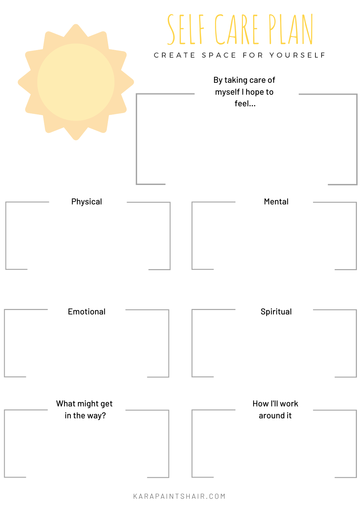

K A R A P A I N T S H A I R . C O M